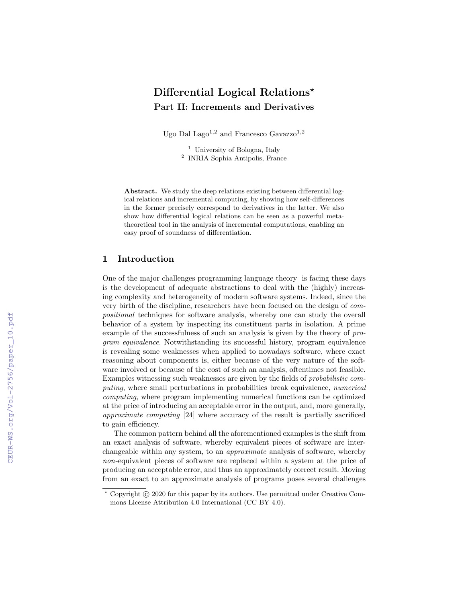# Differential Logical Relations<sup>\*</sup> Part II: Increments and Derivatives

Ugo Dal Lago<sup>1,2</sup> and Francesco Gavazzo<sup>1,2</sup>

<sup>1</sup> University of Bologna, Italy 2 INRIA Sophia Antipolis, France

Abstract. We study the deep relations existing between differential logical relations and incremental computing, by showing how self-differences in the former precisely correspond to derivatives in the latter. We also show how differential logical relations can be seen as a powerful metatheoretical tool in the analysis of incremental computations, enabling an easy proof of soundness of differentiation.

#### 1 Introduction

One of the major challenges programming language theory is facing these days is the development of adequate abstractions to deal with the (highly) increasing complexity and heterogeneity of modern software systems. Indeed, since the very birth of the discipline, researchers have been focused on the design of compositional techniques for software analysis, whereby one can study the overall behavior of a system by inspecting its constituent parts in isolation. A prime example of the successfulness of such an analysis is given by the theory of program equivalence. Notwithstanding its successful history, program equivalence is revealing some weaknesses when applied to nowadays software, where exact reasoning about components is, either because of the very nature of the software involved or because of the cost of such an analysis, oftentimes not feasible. Examples witnessing such weaknesses are given by the fields of probabilistic computing, where small perturbations in probabilities break equivalence, numerical computing, where program implementing numerical functions can be optimized at the price of introducing an acceptable error in the output, and, more generally, approximate computing [24] where accuracy of the result is partially sacrificed to gain efficiency.

The common pattern behind all the aforementioned examples is the shift from an exact analysis of software, whereby equivalent pieces of software are interchangeable within any system, to an approximate analysis of software, whereby non-equivalent pieces of software are replaced within a system at the price of producing an acceptable error, and thus an approximately correct result. Moving from an exact to an approximate analysis of programs poses several challenges

 $*$  Copyright  $\odot$  2020 for this paper by its authors. Use permitted under Creative Commons License Attribution 4.0 International (CC BY 4.0).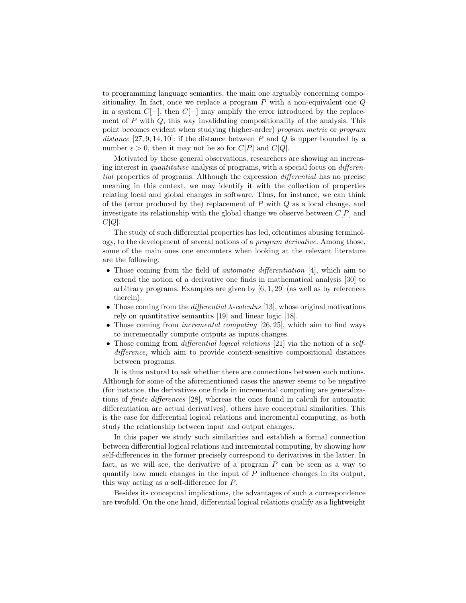to programming language semantics, the main one arguably concerning compositionality. In fact, once we replace a program  $P$  with a non-equivalent one  $Q$ in a system  $C[-]$ , then  $C[-]$  may amplify the error introduced by the replacement of  $P$  with  $Q$ , this way invalidating compositionality of the analysis. This point becomes evident when studying (higher-order) program metric or program distance [27, 9, 14, 10]: if the distance between P and Q is upper bounded by a number  $\varepsilon > 0$ , then it may not be so for  $C[P]$  and  $C[Q]$ .

Motivated by these general observations, researchers are showing an increasing interest in quantitative analysis of programs, with a special focus on differential properties of programs. Although the expression differential has no precise meaning in this context, we may identify it with the collection of properties relating local and global changes in software. Thus, for instance, we can think of the (error produced by the) replacement of  $P$  with  $Q$  as a local change, and investigate its relationship with the global change we observe between  $C[P]$  and  $C[Q].$ 

The study of such differential properties has led, oftentimes abusing terminology, to the development of several notions of a program derivative. Among those, some of the main ones one encounters when looking at the relevant literature are the following.

- Those coming from the field of *automatic differentiation* [4], which aim to extend the notion of a derivative one finds in mathematical analysis [30] to arbitrary programs. Examples are given by  $[6, 1, 29]$  (as well as by references therein).
- Those coming from the *differential*  $\lambda$ -calculus [13], whose original motivations rely on quantitative semantics [19] and linear logic [18].
- Those coming from *incremental computing* [26, 25], which aim to find ways to incrementally compute outputs as inputs changes.
- Those coming from *differential logical relations* [21] via the notion of a selfdifference, which aim to provide context-sensitive compositional distances between programs.

It is thus natural to ask whether there are connections between such notions. Although for some of the aforementioned cases the answer seems to be negative (for instance, the derivatives one finds in incremental computing are generalizations of finite differences [28], whereas the ones found in calculi for automatic differentiation are actual derivatives), others have conceptual similarities. This is the case for differential logical relations and incremental computing, as both study the relationship between input and output changes.

In this paper we study such similarities and establish a formal connection between differential logical relations and incremental computing, by showing how self-differences in the former precisely correspond to derivatives in the latter. In fact, as we will see, the derivative of a program  $P$  can be seen as a way to quantify how much changes in the input of P influence changes in its output, this way acting as a self-difference for P.

Besides its conceptual implications, the advantages of such a correspondence are twofold. On the one hand, differential logical relations qualify as a lightweight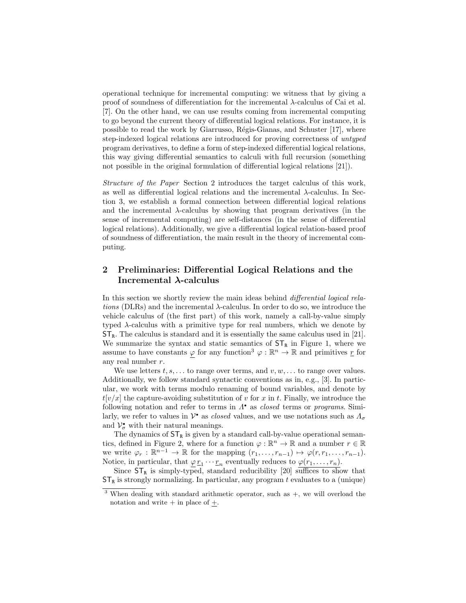operational technique for incremental computing: we witness that by giving a proof of soundness of differentiation for the incremental  $\lambda$ -calculus of Cai et al. [7]. On the other hand, we can use results coming from incremental computing to go beyond the current theory of differential logical relations. For instance, it is possible to read the work by Giarrusso, Régis-Gianas, and Schuster [17], where step-indexed logical relations are introduced for proving correctness of untyped program derivatives, to define a form of step-indexed differential logical relations, this way giving differential semantics to calculi with full recursion (something not possible in the original formulation of differential logical relations [21]).

Structure of the Paper Section 2 introduces the target calculus of this work, as well as differential logical relations and the incremental  $\lambda$ -calculus. In Section 3, we establish a formal connection between differential logical relations and the incremental  $\lambda$ -calculus by showing that program derivatives (in the sense of incremental computing) are self-distances (in the sense of differential logical relations). Additionally, we give a differential logical relation-based proof of soundness of differentiation, the main result in the theory of incremental computing.

## 2 Preliminaries: Differential Logical Relations and the Incremental λ-calculus

In this section we shortly review the main ideas behind *differential logical rela*tions (DLRs) and the incremental  $\lambda$ -calculus. In order to do so, we introduce the vehicle calculus of (the first part) of this work, namely a call-by-value simply typed  $\lambda$ -calculus with a primitive type for real numbers, which we denote by  $ST_R$ . The calculus is standard and it is essentially the same calculus used in [21]. We summarize the syntax and static semantics of  $ST_R$  in Figure 1, where we assume to have constants  $\varphi$  for any function<sup>3</sup>  $\varphi : \mathbb{R}^n \to \mathbb{R}$  and primitives <u>r</u> for any real number r.

We use letters  $t, s, \ldots$  to range over terms, and  $v, w, \ldots$  to range over values. Additionally, we follow standard syntactic conventions as in, e.g., [3]. In particular, we work with terms modulo renaming of bound variables, and denote by  $t[v/x]$  the capture-avoiding substitution of v for x in t. Finally, we introduce the following notation and refer to terms in  $\Lambda^{\bullet}$  as *closed* terms or *programs*. Similarly, we refer to values in  $\mathcal{V}^{\bullet}$  as *closed* values, and we use notations such as  $\Lambda_{\sigma}$ and  $\mathcal{V}_{\sigma}^{\bullet}$  with their natural meanings.

The dynamics of  $ST_R$  is given by a standard call-by-value operational semantics, defined in Figure 2, where for a function  $\varphi : \mathbb{R}^n \to \mathbb{R}$  and a number  $r \in \mathbb{R}$ we write  $\varphi_r : \mathbb{R}^{n-1} \to \mathbb{R}$  for the mapping  $(r_1, \ldots, r_{n-1}) \mapsto \varphi(r, r_1, \ldots, r_{n-1}).$ Notice, in particular, that  $\underline{\varphi} r_1 \cdots r_n$  eventually reduces to  $\varphi(r_1, \ldots, r_n)$ .

Since  $ST_R$  is simply-typed, standard reducibility [20] suffices to show that  $ST_R$  is strongly normalizing. In particular, any program t evaluates to a (unique)

 $3$  When dealing with standard arithmetic operator, such as  $+$ , we will overload the notation and write  $+$  in place of  $+$ .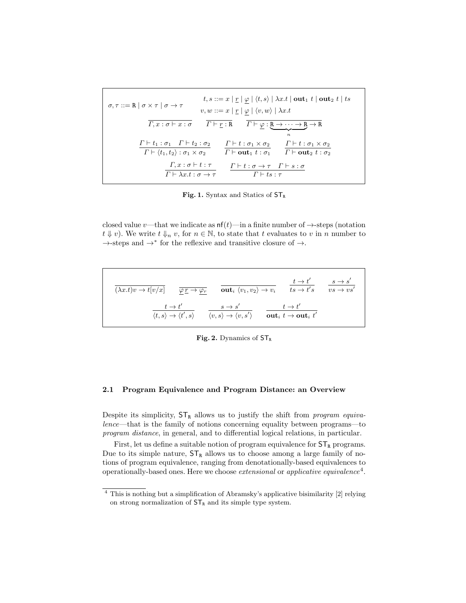$$
\sigma, \tau ::= \mathbb{R} \mid \sigma \times \tau \mid \sigma \to \tau
$$
\n
$$
t, s ::= x \mid \underline{r} \mid \underline{\varphi} \mid \langle t, s \rangle \mid \lambda x. t \mid \text{out}_1 t \mid \text{out}_2 t \mid ts
$$
\n
$$
v, w ::= x \mid \underline{r} \mid \underline{\varphi} \mid \langle v, w \rangle \mid \lambda x. t
$$
\n
$$
\overline{\Gamma, x : \sigma \vdash x : \sigma}
$$
\n
$$
\overline{\Gamma \vdash \underline{r : \mathbb{R}}} \quad \overline{\Gamma \vdash \underline{\varphi} : \underline{\mathbb{R} \to \cdots \to \mathbb{R}} \to \mathbb{R}}
$$
\n
$$
\frac{\Gamma \vdash t_1 : \sigma_1 \quad \Gamma \vdash t_2 : \sigma_2}{\Gamma \vdash \langle t_1, t_2 \rangle : \sigma_1 \times \sigma_2} \quad \overline{\Gamma \vdash t : \sigma_1 \times \sigma_2} \quad \overline{\Gamma \vdash \text{out}_1 t : \sigma_1} \quad \overline{\Gamma \vdash \text{out}_2 t : \sigma_2}
$$
\n
$$
\frac{\Gamma, x : \sigma \vdash t : \tau}{\Gamma \vdash \lambda x. t : \sigma \to \tau} \quad \frac{\Gamma \vdash t : \sigma \to \tau \quad \Gamma \vdash s : \sigma}{\Gamma \vdash ts : \tau}
$$

Fig. 1. Syntax and Statics of  $ST_R$ 

closed value v—that we indicate as  $nf(t)$ —in a finite number of  $\rightarrow$ -steps (notation  $t \Downarrow v$ ). We write  $t \Downarrow_n v$ , for  $n \in \mathbb{N}$ , to state that t evaluates to v in n number to →-steps and →<sup>∗</sup> for the reflexive and transitive closure of →.

$$
\overline{(\lambda x.t)v \to t[v/x]} \qquad \overline{\underline{\varphi}\, \underline{r} \to \underline{\varphi}\, r} \qquad \overline{\text{out}_{i} \langle v_1, v_2 \rangle \to v_i} \qquad \overline{t s \to t' s} \qquad \overline{v s \to s' \over v s \to v s'}
$$
\n
$$
\frac{t \to t'}{\langle t, s \rangle \to \langle t', s \rangle} \qquad \overline{\frac{s \to s'}{\langle v, s \rangle \to \langle v, s' \rangle}} \qquad \overline{\frac{t \to t'}{\text{out}_{i} \ t \to \text{out}_{i} \ t'}}
$$

Fig. 2. Dynamics of  $ST_R$ 

#### 2.1 Program Equivalence and Program Distance: an Overview

Despite its simplicity,  $ST_R$  allows us to justify the shift from *program equiva*lence—that is the family of notions concerning equality between programs—to program distance, in general, and to differential logical relations, in particular.

First, let us define a suitable notion of program equivalence for  $ST_R$  programs. Due to its simple nature,  $ST_R$  allows us to choose among a large family of notions of program equivalence, ranging from denotationally-based equivalences to operationally-based ones. Here we choose *extensional* or *applicative equivalence*<sup>4</sup>.

 $4$  This is nothing but a simplification of Abramsky's applicative bisimilarity [2] relying on strong normalization of  $\mathsf{ST}_\mathbb{R}$  and its simple type system.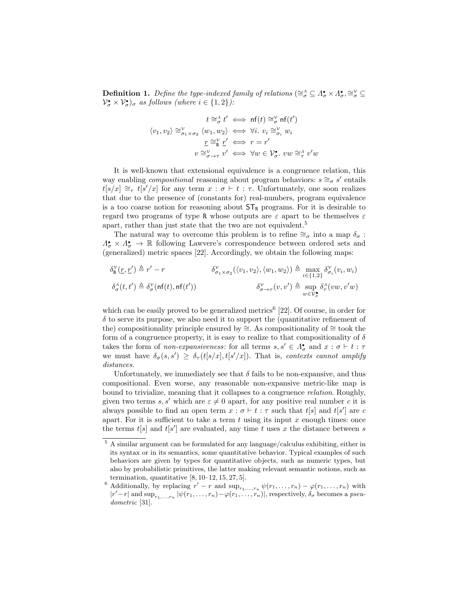**Definition 1.** Define the type-indexed family of relations ( $\cong_{\sigma}^{\Lambda} \subseteq \Lambda_{\sigma}^{\bullet} \times \Lambda_{\sigma}^{\bullet}, \cong_{\sigma}^{\vee} \subseteq$  $\mathcal{V}_{\sigma}^{\bullet} \times \mathcal{V}_{\sigma}^{\bullet}$ )<sub> $\sigma$ </sub> as follows (where  $i \in \{1,2\}$ ):

$$
t \cong_{\sigma}^{A} t' \iff \text{nf}(t) \cong_{\sigma}^{V} \text{nf}(t')
$$

$$
\langle v_1, v_2 \rangle \cong_{\sigma_1 \times \sigma_2}^{V} \langle w_1, w_2 \rangle \iff \forall i. \ v_i \cong_{\sigma_i}^{V} w_i
$$

$$
\underline{r} \cong_{\mathbf{R}}^{V} \underline{r}' \iff r = r'
$$

$$
v \cong_{\sigma \to \tau}^{V} v' \iff \forall w \in \mathcal{V}_{\sigma}^{\bullet}. \ vw \cong_{\tau}^{A} v'w
$$

It is well-known that extensional equivalence is a congruence relation, this way enabling *compositional* reasoning about program behaviors:  $s \cong_{\sigma} s'$  entails  $t[s/x] \cong_{\tau} t[s'/x]$  for any term  $x : \sigma \vdash t : \tau$ . Unfortunately, one soon realizes that due to the presence of (constants for) real-numbers, program equivalence is a too coarse notion for reasoning about  $ST_R$  programs. For it is desirable to regard two programs of type R whose outputs are  $\varepsilon$  apart to be themselves  $\varepsilon$ apart, rather than just state that the two are not equivalent.<sup>5</sup>

The natural way to overcome this problem is to refine  $\cong_{\sigma}$  into a map  $\delta_{\sigma}$ :  $\Lambda_{\sigma}^{\bullet} \times \Lambda_{\sigma}^{\bullet} \to \mathbb{R}$  following Lawvere's correspondence between ordered sets and (generalized) metric spaces [22]. Accordingly, we obtain the following maps:

$$
\delta^{\mathcal{V}}_{\mathbf{R}}(\underline{r},\underline{r}') \triangleq r' - r \qquad \qquad \delta^{\mathcal{V}}_{\sigma_1 \times \sigma_2}(\langle v_1, v_2 \rangle, \langle w_1, w_2 \rangle) \triangleq \max_{i \in \{1,2\}} \delta^{\mathcal{V}}_{\sigma_i}(v_i, w_i)
$$
\n
$$
\delta^{\Lambda}_{\sigma}(t,t') \triangleq \delta^{\mathcal{V}}_{\sigma}(\mathsf{nf}(t),\mathsf{nf}(t')) \qquad \qquad \delta^{\mathcal{V}}_{\sigma \to \tau}(v,v') \triangleq \sup_{w \in \mathcal{V}_{\sigma}^{\bullet}} \delta^{\Lambda}_{\tau}(vw,v'w)
$$

which can be easily proved to be generalized metrics<sup>6</sup> [22]. Of course, in order for  $\delta$  to serve its purpose, we also need it to support the (quantitative refinement of the) compositionality principle ensured by ≅. As compositionality of ≅ took the form of a congruence property, it is easy to realize to that compositionality of  $\delta$ takes the form of *non-expansiveness*: for all terms  $s, s' \in \Lambda^{\bullet}_{\sigma}$  and  $x : \sigma \vdash t : \tau$ we must have  $\delta_{\sigma}(s, s') \geq \delta_{\tau}(t[s/x], t[s'/x])$ . That is, contexts cannot amplify distances.

Unfortunately, we immediately see that  $\delta$  fails to be non-expansive, and thus compositional. Even worse, any reasonable non-expansive metric-like map is bound to trivialize, meaning that it collapses to a congruence relation. Roughly, given two terms s, s' which are  $\varepsilon \neq 0$  apart, for any positive real number c it is always possible to find an open term  $x : \sigma \vdash t : \tau$  such that  $t[s]$  and  $t[s']$  are c apart. For it is sufficient to take a term  $t$  using its input  $x$  enough times: once the terms  $t[s]$  and  $t[s']$  are evaluated, any time t uses x the distance between s

 $^5$  A similar argument can be formulated for any language/calculus exhibiting, either in its syntax or in its semantics, some quantitative behavior. Typical examples of such behaviors are given by types for quantitative objects, such as numeric types, but also by probabilistic primitives, the latter making relevant semantic notions, such as termination, quantitative  $[8, 10-12, 15, 27, 5]$ .

<sup>&</sup>lt;sup>6</sup> Additionally, by replacing  $r' - r$  and  $\sup_{r_1,\dots,r_n} \psi(r_1,\dots,r_n) - \varphi(r_1,\dots,r_n)$  with  $|r'-r|$  and  $\sup_{r_1,\dots,r_n} |\psi(r_1,\dots,r_n)-\varphi(r_1,\dots,r_n)|$ , respectively,  $\delta_{\sigma}$  becomes a pseudometric [31].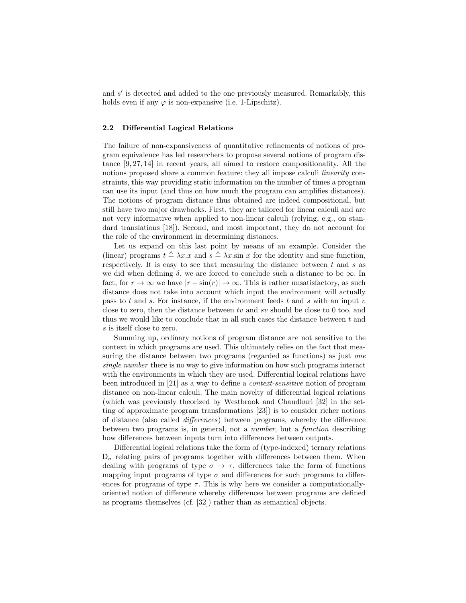and  $s'$  is detected and added to the one previously measured. Remarkably, this holds even if any  $\varphi$  is non-expansive (i.e. 1-Lipschitz).

#### 2.2 Differential Logical Relations

The failure of non-expansiveness of quantitative refinements of notions of program equivalence has led researchers to propose several notions of program distance [9, 27, 14] in recent years, all aimed to restore compositionality. All the notions proposed share a common feature: they all impose calculi *linearity* constraints, this way providing static information on the number of times a program can use its input (and thus on how much the program can amplifies distances). The notions of program distance thus obtained are indeed compositional, but still have two major drawbacks. First, they are tailored for linear calculi and are not very informative when applied to non-linear calculi (relying, e.g., on standard translations [18]). Second, and most important, they do not account for the role of the environment in determining distances.

Let us expand on this last point by means of an example. Consider the (linear) programs  $t \triangleq \lambda x.x$  and  $s \triangleq \lambda x.\sin x$  for the identity and sine function, respectively. It is easy to see that measuring the distance between  $t$  and  $s$  as we did when defining  $\delta$ , we are forced to conclude such a distance to be  $\infty$ . In fact, for  $r \to \infty$  we have  $|r - \sin(r)| \to \infty$ . This is rather unsatisfactory, as such distance does not take into account which input the environment will actually pass to t and s. For instance, if the environment feeds t and s with an input  $v$ close to zero, then the distance between  $tv$  and  $sv$  should be close to 0 too, and thus we would like to conclude that in all such cases the distance between  $t$  and s is itself close to zero.

Summing up, ordinary notions of program distance are not sensitive to the context in which programs are used. This ultimately relies on the fact that measuring the distance between two programs (regarded as functions) as just *one* single number there is no way to give information on how such programs interact with the environments in which they are used. Differential logical relations have been introduced in [21] as a way to define a context-sensitive notion of program distance on non-linear calculi. The main novelty of differential logical relations (which was previously theorized by Westbrook and Chaudhuri [32] in the setting of approximate program transformations [23]) is to consider richer notions of distance (also called differences) between programs, whereby the difference between two programs is, in general, not a number, but a function describing how differences between inputs turn into differences between outputs.

Differential logical relations take the form of (type-indexed) ternary relations  $D_{\sigma}$  relating pairs of programs together with differences between them. When dealing with programs of type  $\sigma \to \tau$ , differences take the form of functions mapping input programs of type  $\sigma$  and differences for such programs to differences for programs of type  $\tau$ . This is why here we consider a computationallyoriented notion of difference whereby differences between programs are defined as programs themselves (cf. [32]) rather than as semantical objects.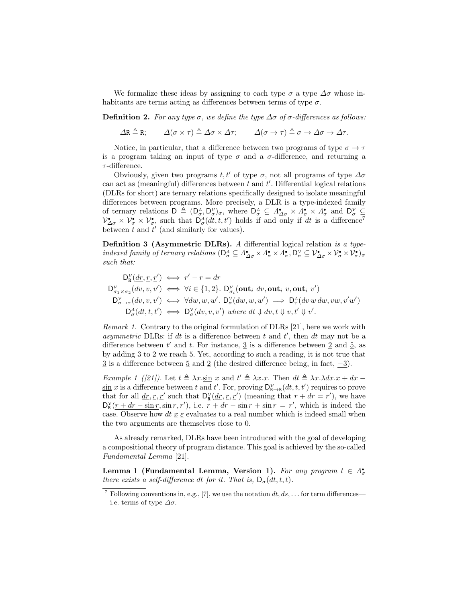We formalize these ideas by assigning to each type  $\sigma$  a type  $\Delta \sigma$  whose inhabitants are terms acting as differences between terms of type  $\sigma$ .

Definition 2. For any type σ, we define the type  $\Delta \sigma$  of σ-differences as follows:

 $\Delta R \triangleq R;$   $\Delta(\sigma \times \tau) \triangleq \Delta \sigma \times \Delta \tau;$   $\Delta(\sigma \to \tau) \triangleq \sigma \to \Delta \sigma \to \Delta \tau.$ 

Notice, in particular, that a difference between two programs of type  $\sigma \to \tau$ is a program taking an input of type  $\sigma$  and a  $\sigma$ -difference, and returning a  $\tau$ -difference.

Obviously, given two programs t, t' of type  $\sigma$ , not all programs of type  $\Delta \sigma$ can act as (meaningful) differences between  $t$  and  $t'$ . Differential logical relations (DLRs for short) are ternary relations specifically designed to isolate meaningful differences between programs. More precisely, a DLR is a type-indexed family of ternary relations  $D \triangleq (D^{\Lambda}_{\sigma}, D^{\nu}_{\sigma})_{\sigma}$ , where  $D^{\Lambda}_{\sigma} \subseteq \Lambda^{\bullet}_{\Delta \sigma} \times \Lambda^{\bullet}_{\sigma} \times \Lambda^{\bullet}_{\sigma}$  and  $D^{\nu}_{\sigma} \subseteq$  $\mathcal{V}_{\Delta\sigma}^{\bullet} \times \mathcal{V}_{\sigma}^{\bullet} \times \mathcal{V}_{\sigma}^{\bullet}$ , such that  $\mathsf{D}_{\sigma}^{\Lambda}(dt, t, t')$  holds if and only if dt is a difference<sup>7</sup> between  $t$  and  $t'$  (and similarly for values).

Definition 3 (Asymmetric DLRs). A differential logical relation is a typeindexed family of ternary relations  $(D_{\sigma}^{\Lambda} \subseteq \Lambda_{\Delta \sigma}^{\bullet} \times \Lambda_{\sigma}^{\bullet} \times \Lambda_{\sigma}^{\bullet}, D_{\sigma}^{\vee} \subseteq \mathcal{V}_{\Delta \sigma}^{\bullet} \times \mathcal{V}_{\sigma}^{\bullet} \times \mathcal{V}_{\sigma}^{\bullet})_{\sigma}$ such that:

$$
D_K^{\mathcal{V}}(\underline{dr}, \underline{r}, \underline{r}') \iff r' - r = dr
$$
  
\n
$$
D_{\sigma_1 \times \sigma_2}^{\mathcal{V}}(dv, v, v') \iff \forall i \in \{1, 2\}.
$$
 
$$
D_{\sigma_i}^{\mathcal{V}}(\textbf{out}_i dv, \textbf{out}_i v, \textbf{out}_i v')
$$
  
\n
$$
D_{\sigma \to \tau}^{\mathcal{V}}(dv, v, v') \iff \forall dw, w, w'. D_{\sigma}^{\mathcal{V}}(dw, w, w') \implies D_{\tau}^{\mathcal{A}}(dv w dw, vw, v'w')
$$
  
\n
$$
D_{\sigma}^{\mathcal{A}}(dt, t, t') \iff D_{\sigma}^{\mathcal{V}}(dv, v, v') \text{ where } dt \Downarrow dv, t \Downarrow v, t' \Downarrow v'.
$$

Remark 1. Contrary to the original formulation of DLRs [21], here we work with asymmetric DLRs: if dt is a difference between  $t$  and  $t'$ , then  $dt$  may not be a difference between  $t'$  and  $t$ . For instance,  $\frac{3}{5}$  is a difference between  $\frac{2}{5}$  and  $\frac{5}{5}$ , as by adding 3 to 2 we reach 5. Yet, according to such a reading, it is not true that  $\frac{3}{2}$  is a difference between  $\frac{5}{2}$  and  $\frac{2}{2}$  (the desired difference being, in fact,  $-3$ ).

Example 1 ([21]). Let  $t \triangleq \lambda x \cdot \sin x$  and  $t' \triangleq \lambda x \cdot x$ . Then  $dt \triangleq \lambda x \cdot \lambda dx \cdot x + dx$  $\sin x$  is a difference between t and t'. For, proving  $D_{\mathbf{R}\to\mathbf{R}}^{\mathcal{V}}(dt, t, t')$  requires to prove that for all  $\underline{dr}, \underline{r}, \underline{r}'$  such that  $D_k^{\gamma}(\underline{dr}, \underline{r}, \underline{r}')$  (meaning that  $r + dr = r'$ ), we have  $D_{\mathbf{R}}^{\gamma}(\underline{r}+d\boldsymbol{r}-\sin\boldsymbol{r},\sin\boldsymbol{r},\underline{r}')$ , i.e.  $r+d\boldsymbol{r}-\sin\boldsymbol{r}+\sin\boldsymbol{r}=\boldsymbol{r}'$ , which is indeed the case. Observe how  $dt \underline{x} \underline{\varepsilon}$  evaluates to a real number which is indeed small when the two arguments are themselves close to 0.

As already remarked, DLRs have been introduced with the goal of developing a compositional theory of program distance. This goal is achieved by the so-called Fundamental Lemma [21].

Lemma 1 (Fundamental Lemma, Version 1). For any program  $t \in \Lambda^{\bullet}_{\sigma}$ there exists a self-difference dt for it. That is,  $D_{\sigma}(dt, t, t)$ .

<sup>&</sup>lt;sup>7</sup> Following conventions in, e.g., [7], we use the notation  $dt, ds, \ldots$  for term differences i.e. terms of type  $\Delta \sigma$ .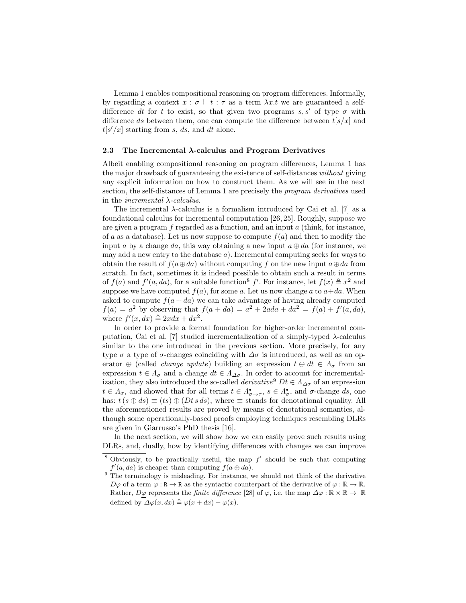Lemma 1 enables compositional reasoning on program differences. Informally, by regarding a context  $x : \sigma \vdash t : \tau$  as a term  $\lambda x.t$  we are guaranteed a selfdifference dt for t to exist, so that given two programs  $s, s'$  of type  $\sigma$  with difference ds between them, one can compute the difference between  $t[s/x]$  and  $t[s'/x]$  starting from s, ds, and dt alone.

#### 2.3 The Incremental  $\lambda$ -calculus and Program Derivatives

Albeit enabling compositional reasoning on program differences, Lemma 1 has the major drawback of guaranteeing the existence of self-distances without giving any explicit information on how to construct them. As we will see in the next section, the self-distances of Lemma 1 are precisely the program derivatives used in the *incremental*  $\lambda$ -calculus.

The incremental  $\lambda$ -calculus is a formalism introduced by Cai et al. [7] as a foundational calculus for incremental computation [26, 25]. Roughly, suppose we are given a program  $f$  regarded as a function, and an input  $a$  (think, for instance, of a as a database). Let us now suppose to compute  $f(a)$  and then to modify the input a by a change da, this way obtaining a new input  $a \oplus da$  (for instance, we may add a new entry to the database  $a$ ). Incremental computing seeks for ways to obtain the result of  $f(a \oplus da)$  without computing f on the new input  $a \oplus da$  from scratch. In fact, sometimes it is indeed possible to obtain such a result in terms of  $f(a)$  and  $f'(a, da)$ , for a suitable function<sup>8</sup> f'. For instance, let  $f(x) \triangleq x^2$  and suppose we have computed  $f(a)$ , for some a. Let us now change a to  $a+d a$ . When asked to compute  $f(a + da)$  we can take advantage of having already computed  $f(a) = a^2$  by observing that  $f(a + da) = a^2 + 2ada + da^2 = f(a) + f'(a, da)$ , where  $f'(x, dx) \triangleq 2xdx + dx^2$ .

In order to provide a formal foundation for higher-order incremental computation, Cai et al. [7] studied incrementalization of a simply-typed λ-calculus similar to the one introduced in the previous section. More precisely, for any type  $\sigma$  a type of  $\sigma$ -changes coinciding with  $\Delta \sigma$  is introduced, as well as an operator  $\oplus$  (called *change update*) building an expression  $t \oplus dt \in \Lambda_{\sigma}$  from an expression  $t \in \Lambda_{\sigma}$  and a change  $dt \in \Lambda_{\Delta\sigma}$ . In order to account for incrementalization, they also introduced the so-called *derivative*<sup>9</sup>  $Dt \in A_{\Delta\sigma}$  of an expression  $t \in \Lambda_{\sigma}$ , and showed that for all terms  $t \in \Lambda_{\sigma \to \tau}^{\bullet}$ ,  $s \in \Lambda_{\sigma}^{\bullet}$ , and  $\sigma$ -change ds, one has:  $t(s \oplus ds) \equiv (ts) \oplus (Dt \, s \, ds)$ , where  $\equiv$  stands for denotational equality. All the aforementioned results are proved by means of denotational semantics, although some operationally-based proofs employing techniques resembling DLRs are given in Giarrusso's PhD thesis [16].

In the next section, we will show how we can easily prove such results using DLRs, and, dually, how by identifying differences with changes we can improve

<sup>&</sup>lt;sup>8</sup> Obviously, to be practically useful, the map  $f'$  should be such that computing  $f'(a, da)$  is cheaper than computing  $f(a \oplus da)$ .

 $9 \text{ The terminology is misleading.}$  For instance, we should not think of the derivative  $D\varphi$  of a term  $\varphi : \mathbb{R} \to \mathbb{R}$  as the syntactic counterpart of the derivative of  $\varphi : \mathbb{R} \to \mathbb{R}$ . Rather,  $D\varphi$  represents the *finite difference* [28] of  $\varphi$ , i.e. the map  $\Delta\varphi : \mathbb{R} \times \mathbb{R} \to \mathbb{R}$ defined by  $\Delta \varphi(x, dx) \triangleq \varphi(x + dx) - \varphi(x)$ .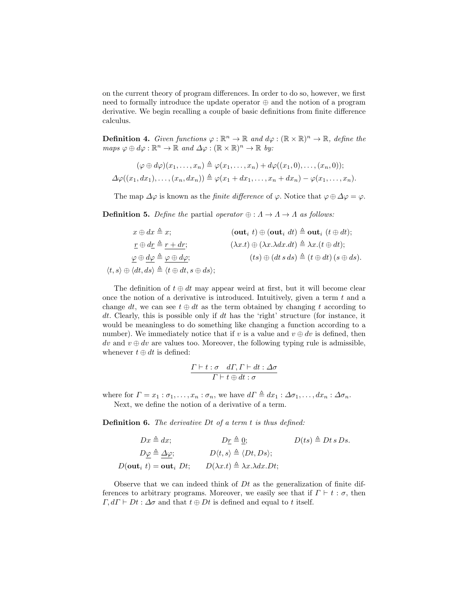on the current theory of program differences. In order to do so, however, we first need to formally introduce the update operator ⊕ and the notion of a program derivative. We begin recalling a couple of basic definitions from finite difference calculus.

**Definition 4.** Given functions  $\varphi : \mathbb{R}^n \to \mathbb{R}$  and  $d\varphi : (\mathbb{R} \times \mathbb{R})^n \to \mathbb{R}$ , define the  $maps \varphi \oplus d\varphi : \mathbb{R}^n \to \mathbb{R} \text{ and } \Delta \varphi : (\mathbb{R} \times \mathbb{R})^n \to \mathbb{R} \text{ by:}$ 

$$
(\varphi \oplus d\varphi)(x_1, \ldots, x_n) \triangleq \varphi(x_1, \ldots, x_n) + d\varphi((x_1, 0), \ldots, (x_n, 0));
$$
  

$$
\Delta \varphi((x_1, dx_1), \ldots, (x_n, dx_n)) \triangleq \varphi(x_1 + dx_1, \ldots, x_n + dx_n) - \varphi(x_1, \ldots, x_n).
$$

The map  $\Delta\varphi$  is known as the *finite difference* of  $\varphi$ . Notice that  $\varphi \oplus \Delta\varphi = \varphi$ .

**Definition 5.** Define the partial operator  $\oplus : \Lambda \to \Lambda$  as follows:

$$
x \oplus dx \triangleq x;
$$
\n
$$
\underline{r} \oplus d\underline{r} \triangleq \underline{r+dr};
$$
\n
$$
\underline{r} \oplus d\underline{r} \triangleq \underline{r+dr};
$$
\n
$$
\underline{r} \oplus d\underline{r} \triangleq \underline{r+dr};
$$
\n
$$
\underline{r} \oplus d\underline{r} \triangleq \underline{r+dr};
$$
\n
$$
\underline{r} \oplus d\underline{r} \triangleq \underline{r+dr};
$$
\n
$$
\underline{r} \oplus d\underline{r} \triangleq \underline{r+dr};
$$
\n
$$
\underline{r} \oplus d\underline{r} \triangleq \underline{r+dr};
$$
\n
$$
\underline{r+dr};
$$
\n
$$
\underline{r+dr};
$$
\n
$$
\underline{r+dr};
$$
\n
$$
\underline{r+dr};
$$
\n
$$
\underline{r+dr};
$$
\n
$$
\underline{r+dr};
$$
\n
$$
\underline{r+dr};
$$
\n
$$
\underline{r+dr};
$$
\n
$$
\underline{r+dr};
$$
\n
$$
\underline{r+dr};
$$
\n
$$
\underline{r+dr};
$$
\n
$$
\underline{r+dr};
$$
\n
$$
\underline{r+dr};
$$
\n
$$
\underline{r+dr};
$$
\n
$$
\underline{r+dr};
$$
\n
$$
\underline{r+dr};
$$
\n
$$
\underline{r+dr};
$$
\n
$$
\underline{r+dr};
$$
\n
$$
\underline{r+dr};
$$
\n
$$
\underline{r+dr};
$$
\n
$$
\underline{r+dr};
$$
\n
$$
\underline{r+dr};
$$
\n
$$
\underline{r+dr};
$$
\n
$$
\underline{r+dr};
$$
\n
$$
\underline{r+dr};
$$
\n
$$
\underline{r+dr};
$$
\n
$$
\underline{r+dr};
$$
\n
$$
\underline{r+dr};
$$
\n
$$
\underline{r+dr};
$$
\n
$$
\underline{r+dr};
$$
\n
$$
\underline{r+dr};
$$
\n
$$
\underline{r+dr};
$$

The definition of  $t \oplus dt$  may appear weird at first, but it will become clear once the notion of a derivative is introduced. Intuitively, given a term  $t$  and a change dt, we can see  $t \oplus dt$  as the term obtained by changing t according to dt. Clearly, this is possible only if dt has the 'right' structure (for instance, it would be meaningless to do something like changing a function according to a number). We immediately notice that if v is a value and  $v \oplus dv$  is defined, then dv and  $v \oplus dv$  are values too. Moreover, the following typing rule is admissible, whenever  $t \oplus dt$  is defined:

$$
\frac{\Gamma\vdash t:\sigma\quad d\Gamma,\Gamma\vdash dt:\Delta\sigma}{\Gamma\vdash t\oplus dt:\sigma}
$$

where for  $\Gamma = x_1 : \sigma_1, \ldots, x_n : \sigma_n$ , we have  $d\Gamma \triangleq dx_1 : \Delta \sigma_1, \ldots, dx_n : \Delta \sigma_n$ . Next, we define the notion of a derivative of a term.

Definition 6. The derivative Dt of a term t is thus defined:

$$
Dx \triangleq dx; \qquad D\underline{r} \triangleq \underline{0}; \qquad D(ts) \triangleq Dt \, s \, Ds.
$$

$$
D\underline{\varphi} \triangleq \underline{\Delta}\varphi; \qquad D\langle t, s \rangle \triangleq \langle Dt, Ds \rangle;
$$

$$
D(\text{out}_i \ t) = \text{out}_i \ Dt; \qquad D(\lambda x.t) \triangleq \lambda x \, \lambda dx \, Dt;
$$

Observe that we can indeed think of  $Dt$  as the generalization of finite differences to arbitrary programs. Moreover, we easily see that if  $\Gamma \vdash t : \sigma$ , then  $\Gamma, d\Gamma \vdash Dt : \Delta \sigma$  and that  $t \oplus Dt$  is defined and equal to t itself.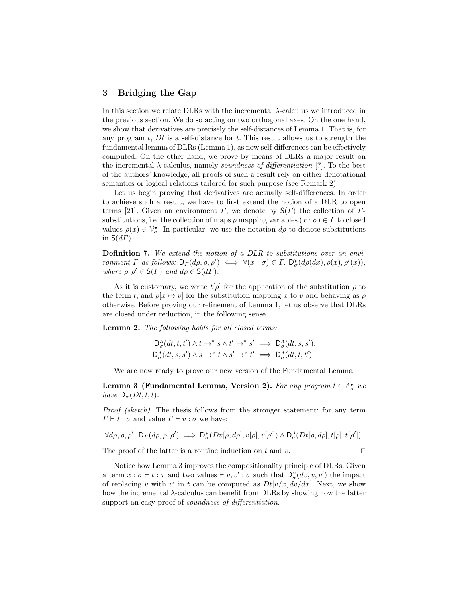## 3 Bridging the Gap

In this section we relate DLRs with the incremental  $\lambda$ -calculus we introduced in the previous section. We do so acting on two orthogonal axes. On the one hand, we show that derivatives are precisely the self-distances of Lemma 1. That is, for any program  $t$ ,  $Dt$  is a self-distance for  $t$ . This result allows us to strength the fundamental lemma of DLRs (Lemma 1), as now self-differences can be effectively computed. On the other hand, we prove by means of DLRs a major result on the incremental  $\lambda$ -calculus, namely soundness of differentiation [7]. To the best of the authors' knowledge, all proofs of such a result rely on either denotational semantics or logical relations tailored for such purpose (see Remark 2).

Let us begin proving that derivatives are actually self-differences. In order to achieve such a result, we have to first extend the notion of a DLR to open terms [21]. Given an environment  $\Gamma$ , we denote by  $S(\Gamma)$  the collection of  $\Gamma$ substitutions, i.e. the collection of maps  $\rho$  mapping variables  $(x : \sigma) \in \Gamma$  to closed values  $\rho(x) \in \mathcal{V}_{\sigma}^{\bullet}$ . In particular, we use the notation  $d\rho$  to denote substitutions in  $S(d\Gamma)$ .

Definition 7. We extend the notion of a DLR to substitutions over an environment  $\Gamma$  as follows:  $D_{\Gamma}(d\rho, \rho, \rho') \iff \forall (x : \sigma) \in \Gamma$ .  $D_{\sigma}^{\nu}(d\rho(dx), \rho(x), \rho'(x)),$ where  $\rho, \rho' \in \mathsf{S}(\Gamma)$  and  $d\rho \in \mathsf{S}(d\Gamma)$ .

As it is customary, we write  $t[\rho]$  for the application of the substitution  $\rho$  to the term t, and  $\rho[x \mapsto v]$  for the substitution mapping x to v and behaving as  $\rho$ otherwise. Before proving our refinement of Lemma 1, let us observe that DLRs are closed under reduction, in the following sense.

Lemma 2. The following holds for all closed terms:

$$
\mathsf{D}^{\Lambda}_{\sigma}(dt, t, t') \wedge t \to^{*} s \wedge t' \to^{*} s' \implies \mathsf{D}^{\Lambda}_{\sigma}(dt, s, s');
$$
  

$$
\mathsf{D}^{\Lambda}_{\sigma}(dt, s, s') \wedge s \to^{*} t \wedge s' \to^{*} t' \implies \mathsf{D}^{\Lambda}_{\sigma}(dt, t, t').
$$

We are now ready to prove our new version of the Fundamental Lemma.

Lemma 3 (Fundamental Lemma, Version 2). For any program  $t \in \Lambda^{\bullet}_{\sigma}$  we have  $D_{\sigma}(Dt, t, t)$ .

Proof (sketch). The thesis follows from the stronger statement: for any term  $\Gamma \vdash t : \sigma$  and value  $\Gamma \vdash v : \sigma$  we have:

$$
\forall d\rho, \rho, \rho'.\ \mathsf{D}_\Gamma(d\rho, \rho, \rho') \implies \mathsf{D}^\mathcal{V}_\sigma(Dv[\rho, d\rho], v[\rho], v[\rho']) \wedge \mathsf{D}^\Lambda_\sigma(Dt[\rho, d\rho], t[\rho], t[\rho']).
$$

The proof of the latter is a routine induction on t and v.  $\square$ 

Notice how Lemma 3 improves the compositionality principle of DLRs. Given a term  $x : \sigma \vdash t : \tau$  and two values  $\vdash v, v' : \sigma$  such that  $\mathsf{D}^{\mathcal{V}}_{\sigma}(dv, v, v')$  the impact of replacing v with v' in t can be computed as  $Dt[v/x, dv/dx]$ . Next, we show how the incremental  $\lambda$ -calculus can benefit from DLRs by showing how the latter support an easy proof of *soundness of differentiation*.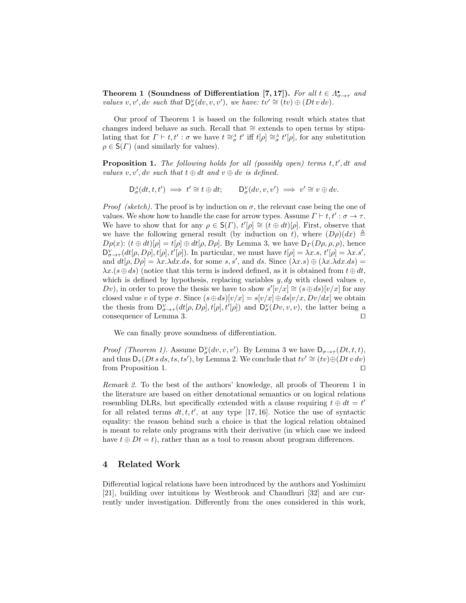Theorem 1 (Soundness of Differentiation [7, 17]). For all  $t \in \Lambda_{\sigma \to \tau}^{\bullet}$  and values v, v', dv such that  $D^{\mathcal{V}}_{\sigma}(dv, v, v')$ , we have:  $tv' \cong (tv) \oplus (Dt v dv)$ .

Our proof of Theorem 1 is based on the following result which states that changes indeed behave as such. Recall that ∼= extends to open terms by stipulating that for  $\Gamma \vdash t, t' : \sigma$  we have  $t \cong_{\sigma}^{\Lambda} t'$  iff  $t[\rho] \cong_{\sigma}^{\Lambda} t'[\rho]$ , for any substitution  $\rho \in \mathsf{S}(\Gamma)$  (and similarly for values).

**Proposition 1.** The following holds for all (possibly open) terms  $t, t', dt$  and values  $v, v', dv$  such that  $t \oplus dt$  and  $v \oplus dv$  is defined.

$$
\mathsf{D}^{\scriptscriptstyle A}_{\sigma}(dt,t,t') \implies t' \cong t \oplus dt; \qquad \mathsf{D}^{\scriptscriptstyle V}_{\sigma}(dv,v,v') \implies v' \cong v \oplus dv.
$$

*Proof (sketch)*. The proof is by induction on  $\sigma$ , the relevant case being the one of values. We show how to handle the case for arrow types. Assume  $\Gamma \vdash t, t' : \sigma \to \tau$ . We have to show that for any  $\rho \in \mathsf{S}(r)$ ,  $t'[\rho] \cong (t \oplus dt)[\rho]$ . First, observe that we have the following general result (by induction on t), where  $(D\rho)(dx) \triangleq$  $D\rho(x)$ :  $(t \oplus dt)[\rho] = t[\rho] \oplus dt[\rho, D\rho]$ . By Lemma 3, we have  $D_{\Gamma}(D\rho, \rho, \rho)$ , hence  $D^{\mathcal{V}}_{\sigma\to\tau}(dt[\rho,D\rho],t[\rho],t'[\rho])$ . In particular, we must have  $t[\rho]=\lambda x.s, t'[\rho]=\lambda x.s',$ and  $dt[\rho, D\rho] = \lambda x. \lambda dx. ds$ , for some s, s', and ds. Since  $(\lambda x. s) \oplus (\lambda x. \lambda dx. ds)$  $\lambda x.(s \oplus ds)$  (notice that this term is indeed defined, as it is obtained from  $t \oplus dt$ , which is defined by hypothesis, replacing variables  $y, dy$  with closed values  $v$ , Dv), in order to prove the thesis we have to show  $s'[v/x] \cong (s \oplus ds)[v/x]$  for any closed value v of type  $\sigma$ . Since  $(s \oplus ds)[v/x] = s[v/x] \oplus ds[v/x, Dv/dx]$  we obtain the thesis from  $D^{\nu}_{\sigma\to\tau}(dt[\rho,D\rho],t[\rho],t'[\rho])$  and  $D^{\nu}_{\sigma}(Dv,v,v)$ , the latter being a consequence of Lemma 3.  $\Box$ 

We can finally prove soundness of differentiation.

*Proof (Theorem 1).* Assume  $D^{\gamma}_{\sigma}(dv, v, v')$ . By Lemma 3 we have  $D_{\sigma \to \tau}(Dt, t, t)$ , and thus  $D_{\tau}(Dt \, s \, ds, ts, ts'),$  by Lemma 2. We conclude that  $tv' \cong (tv) \oplus (Dt \, v \, dv)$ from Proposition 1.  $\Box$ 

Remark 2. To the best of the authors' knowledge, all proofs of Theorem 1 in the literature are based on either denotational semantics or on logical relations resembling DLRs, but specifically extended with a clause requiring  $t \oplus dt = t'$ for all related terms  $dt, t, t'$ , at any type [17, 16]. Notice the use of syntactic equality: the reason behind such a choice is that the logical relation obtained is meant to relate only programs with their derivative (in which case we indeed have  $t \oplus Dt = t$ , rather than as a tool to reason about program differences.

## 4 Related Work

Differential logical relations have been introduced by the authors and Yoshimizu [21], building over intuitions by Westbrook and Chaudhuri [32] and are currently under investigation. Differently from the ones considered in this work,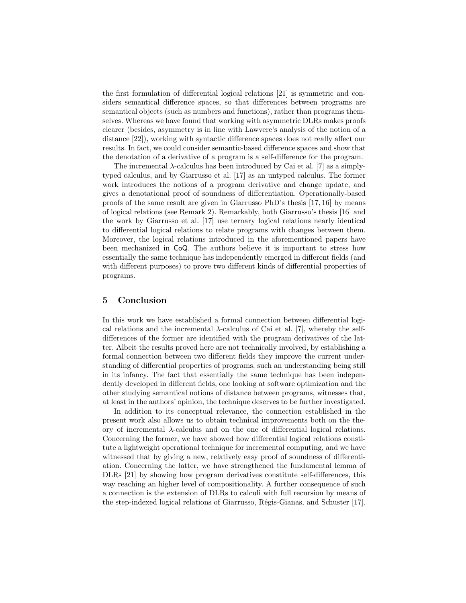the first formulation of differential logical relations [21] is symmetric and considers semantical difference spaces, so that differences between programs are semantical objects (such as numbers and functions), rather than programs themselves. Whereas we have found that working with asymmetric DLRs makes proofs clearer (besides, asymmetry is in line with Lawvere's analysis of the notion of a distance [22]), working with syntactic difference spaces does not really affect our results. In fact, we could consider semantic-based difference spaces and show that the denotation of a derivative of a program is a self-difference for the program.

The incremental  $\lambda$ -calculus has been introduced by Cai et al. [7] as a simplytyped calculus, and by Giarrusso et al. [17] as an untyped calculus. The former work introduces the notions of a program derivative and change update, and gives a denotational proof of soundness of differentiation. Operationally-based proofs of the same result are given in Giarrusso PhD's thesis [17, 16] by means of logical relations (see Remark 2). Remarkably, both Giarrusso's thesis [16] and the work by Giarrusso et al. [17] use ternary logical relations nearly identical to differential logical relations to relate programs with changes between them. Moreover, the logical relations introduced in the aforementioned papers have been mechanized in CoQ. The authors believe it is important to stress how essentially the same technique has independently emerged in different fields (and with different purposes) to prove two different kinds of differential properties of programs.

## 5 Conclusion

In this work we have established a formal connection between differential logical relations and the incremental  $\lambda$ -calculus of Cai et al. [7], whereby the selfdifferences of the former are identified with the program derivatives of the latter. Albeit the results proved here are not technically involved, by establishing a formal connection between two different fields they improve the current understanding of differential properties of programs, such an understanding being still in its infancy. The fact that essentially the same technique has been independently developed in different fields, one looking at software optimization and the other studying semantical notions of distance between programs, witnesses that, at least in the authors' opinion, the technique deserves to be further investigated.

In addition to its conceptual relevance, the connection established in the present work also allows us to obtain technical improvements both on the theory of incremental λ-calculus and on the one of differential logical relations. Concerning the former, we have showed how differential logical relations constitute a lightweight operational technique for incremental computing, and we have witnessed that by giving a new, relatively easy proof of soundness of differentiation. Concerning the latter, we have strengthened the fundamental lemma of DLRs [21] by showing how program derivatives constitute self-differences, this way reaching an higher level of compositionality. A further consequence of such a connection is the extension of DLRs to calculi with full recursion by means of the step-indexed logical relations of Giarrusso, Régis-Gianas, and Schuster [17].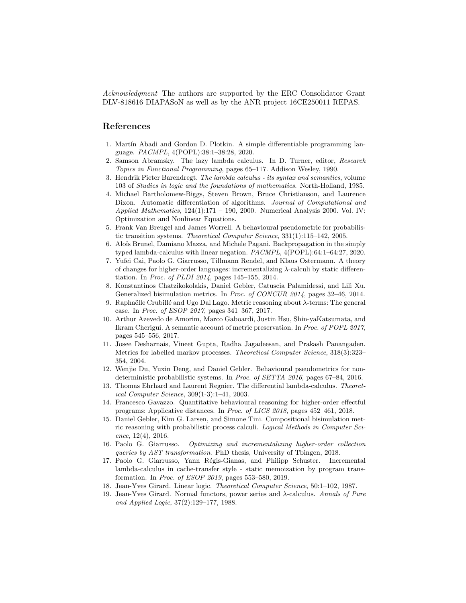Acknowledgment The authors are supported by the ERC Consolidator Grant DLV-818616 DIAPASoN as well as by the ANR project 16CE250011 REPAS.

## References

- 1. Martín Abadi and Gordon D. Plotkin. A simple differentiable programming language. PACMPL, 4(POPL):38:1–38:28, 2020.
- 2. Samson Abramsky. The lazy lambda calculus. In D. Turner, editor, Research Topics in Functional Programming, pages 65–117. Addison Wesley, 1990.
- 3. Hendrik Pieter Barendregt. The lambda calculus its syntax and semantics, volume 103 of Studies in logic and the foundations of mathematics. North-Holland, 1985.
- 4. Michael Bartholomew-Biggs, Steven Brown, Bruce Christianson, and Laurence Dixon. Automatic differentiation of algorithms. Journal of Computational and Applied Mathematics,  $124(1):171 - 190$ , 2000. Numerical Analysis 2000. Vol. IV: Optimization and Nonlinear Equations.
- 5. Frank Van Breugel and James Worrell. A behavioural pseudometric for probabilistic transition systems. Theoretical Computer Science, 331(1):115–142, 2005.
- 6. Alo¨ıs Brunel, Damiano Mazza, and Michele Pagani. Backpropagation in the simply typed lambda-calculus with linear negation. PACMPL, 4(POPL):64:1–64:27, 2020.
- 7. Yufei Cai, Paolo G. Giarrusso, Tillmann Rendel, and Klaus Ostermann. A theory of changes for higher-order languages: incrementalizing λ-calculi by static differentiation. In Proc. of PLDI 2014, pages 145–155, 2014.
- 8. Konstantinos Chatzikokolakis, Daniel Gebler, Catuscia Palamidessi, and Lili Xu. Generalized bisimulation metrics. In Proc. of CONCUR 2014, pages 32–46, 2014.
- 9. Raphaëlle Crubillé and Ugo Dal Lago. Metric reasoning about  $\lambda$ -terms: The general case. In Proc. of ESOP 2017, pages 341–367, 2017.
- 10. Arthur Azevedo de Amorim, Marco Gaboardi, Justin Hsu, Shin-yaKatsumata, and Ikram Cherigui. A semantic account of metric preservation. In Proc. of POPL 2017, pages 545–556, 2017.
- 11. Josee Desharnais, Vineet Gupta, Radha Jagadeesan, and Prakash Panangaden. Metrics for labelled markov processes. Theoretical Computer Science, 318(3):323– 354, 2004.
- 12. Wenjie Du, Yuxin Deng, and Daniel Gebler. Behavioural pseudometrics for nondeterministic probabilistic systems. In Proc. of SETTA 2016, pages 67–84, 2016.
- 13. Thomas Ehrhard and Laurent Regnier. The differential lambda-calculus. Theoretical Computer Science, 309(1-3):1–41, 2003.
- 14. Francesco Gavazzo. Quantitative behavioural reasoning for higher-order effectful programs: Applicative distances. In Proc. of LICS 2018, pages 452–461, 2018.
- 15. Daniel Gebler, Kim G. Larsen, and Simone Tini. Compositional bisimulation metric reasoning with probabilistic process calculi. Logical Methods in Computer Science, 12(4), 2016.
- 16. Paolo G. Giarrusso. Optimizing and incrementalizing higher-order collection queries by AST transformation. PhD thesis, University of Tbingen, 2018.
- 17. Paolo G. Giarrusso, Yann Régis-Gianas, and Philipp Schuster. Incremental lambda-calculus in cache-transfer style - static memoization by program transformation. In Proc. of ESOP 2019, pages 553–580, 2019.
- 18. Jean-Yves Girard. Linear logic. Theoretical Computer Science, 50:1–102, 1987.
- 19. Jean-Yves Girard. Normal functors, power series and  $\lambda$ -calculus. Annals of Pure and Applied Logic, 37(2):129–177, 1988.